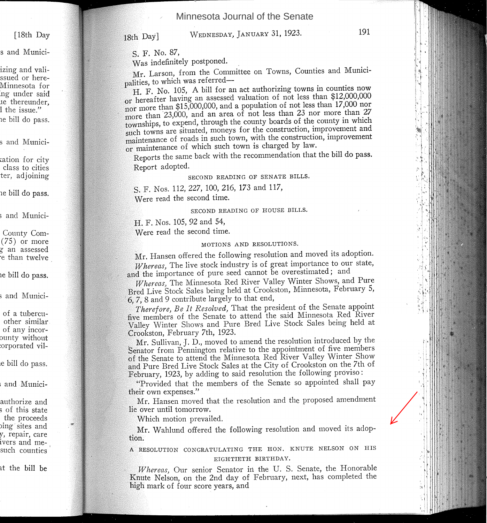Minnesota Journal of the Senate

[18th Day

s and Munici-

izing and valissued or here-Minnesota for :ng under said Ie thereunder, 1 the issue." 1e bill do pass.

s and Munici-

cation for city class to cities ter, adjoining

1e bill do pass.

; and Munici-

County Com- (75) or more g an assessed °e than twelve

le bill do pass.

; and Munici-

of a tubercuother similar of any incor-Dunty without :orporated vil-

Ie bill do pass.

<sup>i</sup> and Munici-

authorize and 5 of this state the proceeds )ing··sites and *y,* repair, care ivers and mesuch counties

at the bill be

18th Day]

S. F. No. 87,

Was indefinitely postponed.

Mr. Larson, from the Committee on Towns, Counties and Municipalities, to which was referred-

H. F. No. 105, A bill for an act authorizing towns in counties now or hereafter having an assessed valuation of not less than \$12,000,000  $\frac{1}{2}$  more than \$15,000,000, and a population of not less than 17,000 nor Ore than ° 23,000, and an area of not less than 23 nor more than 27 townships, to expend, through the county boards of the county in which such towns are situated, moneys for the construction, improvement and maintenance of roads in such town, with the construction, improvement or maintenance of which such town is charged by law.

Reports the same back with the recommendation that the bill do pass. Report adopted.

# SECOND READING OF SENATE BILLS.

S. F. Nos. 112, 227, 100,216, 173 and 117, Were read the second time.

SECOND READING OF HOUSE BILLS.

. F. Nos. 105, 92 and 54,

Were read the second time.

## MOTIONS AND RESOLUTIONS.

Mr. Hansen offered the following resolution and moved its adoption. *V.hereas)* The live stock industry is of great importance to our state, and the importance of pure seed cannot be overestimated; and

*Whereas*, The Minnesota Red River Valley Winter Shows, and Pure Bred Live Stock Sales being held at Crookston, Minnesota, February 5, 8 and 9 contribute largely to that end,

*herefore) Be* It *Resolved)* That the president of the Senate appoint five members of the Senate to attend the said Minnesota Red River Valley Winter Shows and Pure Bred Live Stock Sales being held at Crookston, February 7th, 1923.

Mr. Sullivan, J. D., moved to amend the resolution introduced by the Senator from Pennington relative to the appointment of five members of the Senate to attend the Minnesota Red River Valley Winter Show and Pure Bred Live Stock Sales at the City of Crookston on the 7th of February, 1923, by adding to said resolution the following proviso:

Provided that the members of the Senate so appointed shall pay their own expenses."

Mr. Hansen moved that the resolution and the proposed amendment lie over until tomorrow.

Which motion prevailed.

Mr. Wahlund offered the following resolution and moved its adoption.

A RESOLUTION CONGRATULATING THE HON. KNUTE NELSON ON HIS EIGHTIETH BIRTHDAY.

Whereas, Our senior Senator in the U.S. Senate, the Honorable Knute Nelson, on the 2nd day of February, next, has completed the high mark of four score years, and

WEDNESDAY, JANUARY 31, 1923. 191